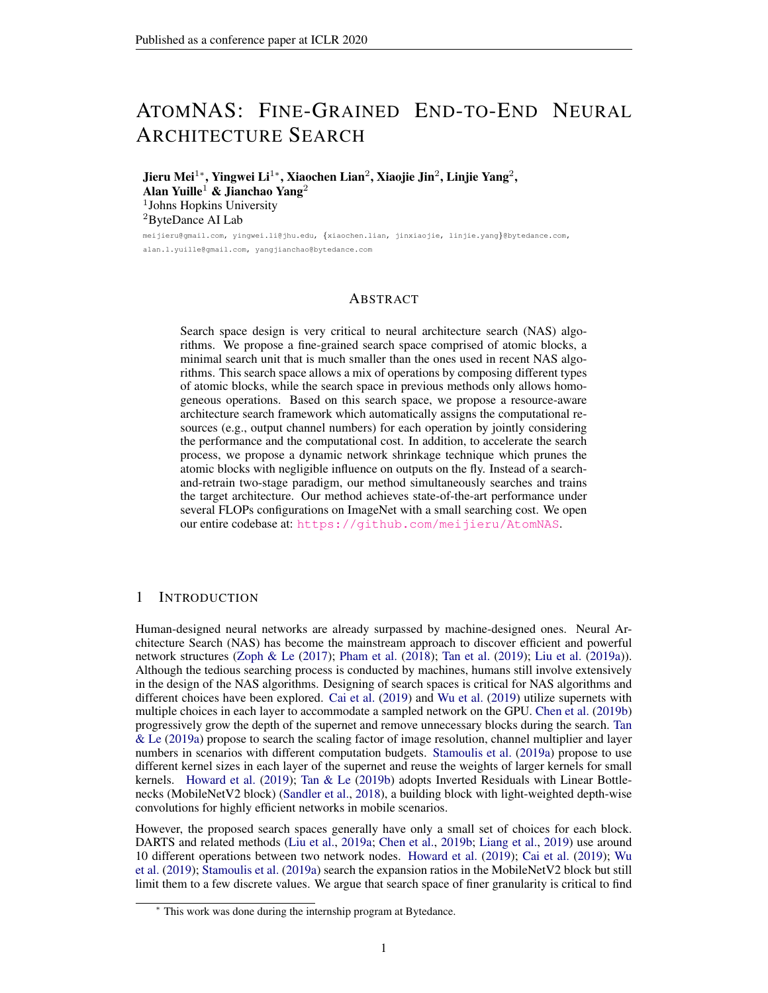# ATOMNAS: FINE-GRAINED END-TO-END NEURAL ARCHITECTURE SEARCH

Jieru Mei $^{1*}$ , Yingwei Li $^{1*}$ , Xiaochen Lian $^2$ , Xiaojie Jin $^2$ , Linjie Yang $^2$ , Alan Yuille<sup>1</sup> & Jianchao Yang<sup>2</sup> 1 Johns Hopkins University <sup>2</sup>ByteDance AI Lab meijieru@gmail.com, yingwei.li@jhu.edu, {xiaochen.lian, jinxiaojie, linjie.yang}@bytedance.com,

alan.l.yuille@gmail.com, yangjianchao@bytedance.com

# ABSTRACT

Search space design is very critical to neural architecture search (NAS) algorithms. We propose a fine-grained search space comprised of atomic blocks, a minimal search unit that is much smaller than the ones used in recent NAS algorithms. This search space allows a mix of operations by composing different types of atomic blocks, while the search space in previous methods only allows homogeneous operations. Based on this search space, we propose a resource-aware architecture search framework which automatically assigns the computational resources (e.g., output channel numbers) for each operation by jointly considering the performance and the computational cost. In addition, to accelerate the search process, we propose a dynamic network shrinkage technique which prunes the atomic blocks with negligible influence on outputs on the fly. Instead of a searchand-retrain two-stage paradigm, our method simultaneously searches and trains the target architecture. Our method achieves state-of-the-art performance under several FLOPs configurations on ImageNet with a small searching cost. We open our entire codebase at: <https://github.com/meijieru/AtomNAS>.

# 1 INTRODUCTION

Human-designed neural networks are already surpassed by machine-designed ones. Neural Architecture Search (NAS) has become the mainstream approach to discover efficient and powerful network structures [\(Zoph & Le](#page-12-0) [\(2017\)](#page-12-0); [Pham et al.](#page-11-0) [\(2018\)](#page-11-0); [Tan et al.](#page-11-1) [\(2019\)](#page-11-1); [Liu et al.](#page-11-2) [\(2019a\)](#page-11-2)). Although the tedious searching process is conducted by machines, humans still involve extensively in the design of the NAS algorithms. Designing of search spaces is critical for NAS algorithms and different choices have been explored. [Cai et al.](#page-10-0) [\(2019\)](#page-10-0) and [Wu et al.](#page-11-3) [\(2019\)](#page-11-3) utilize supernets with multiple choices in each layer to accommodate a sampled network on the GPU. [Chen et al.](#page-10-1) [\(2019b\)](#page-10-1) progressively grow the depth of the supernet and remove unnecessary blocks during the search. [Tan](#page-11-4) [& Le](#page-11-4) [\(2019a\)](#page-11-4) propose to search the scaling factor of image resolution, channel multiplier and layer numbers in scenarios with different computation budgets. [Stamoulis et al.](#page-11-5) [\(2019a\)](#page-11-5) propose to use different kernel sizes in each layer of the supernet and reuse the weights of larger kernels for small kernels. [Howard et al.](#page-10-2) [\(2019\)](#page-10-2); [Tan & Le](#page-11-6) [\(2019b\)](#page-11-6) adopts Inverted Residuals with Linear Bottlenecks (MobileNetV2 block) [\(Sandler et al.,](#page-11-7) [2018\)](#page-11-7), a building block with light-weighted depth-wise convolutions for highly efficient networks in mobile scenarios.

However, the proposed search spaces generally have only a small set of choices for each block. DARTS and related methods [\(Liu et al.,](#page-11-2) [2019a;](#page-11-2) [Chen et al.,](#page-10-1) [2019b;](#page-10-1) [Liang et al.,](#page-11-8) [2019\)](#page-11-8) use around 10 different operations between two network nodes. [Howard et al.](#page-10-2) [\(2019\)](#page-10-2); [Cai et al.](#page-10-0) [\(2019\)](#page-10-0); [Wu](#page-11-3) [et al.](#page-11-3) [\(2019\)](#page-11-3); [Stamoulis et al.](#page-11-5) [\(2019a\)](#page-11-5) search the expansion ratios in the MobileNetV2 block but still limit them to a few discrete values. We argue that search space of finer granularity is critical to find

<sup>∗</sup> This work was done during the internship program at Bytedance.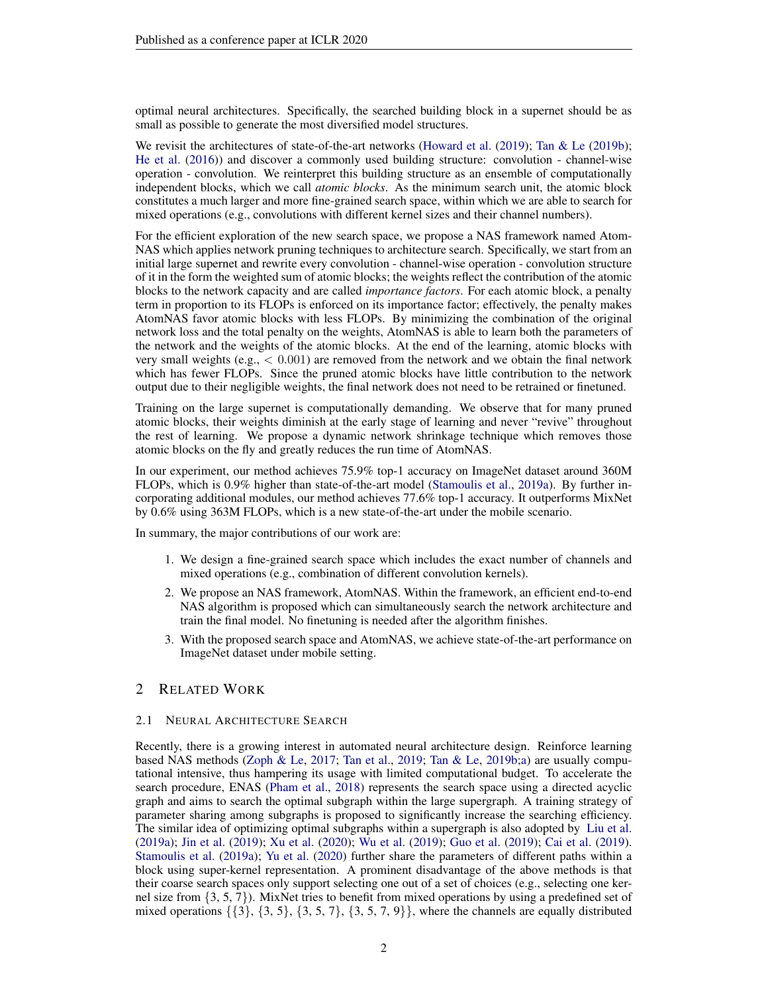optimal neural architectures. Specifically, the searched building block in a supernet should be as small as possible to generate the most diversified model structures.

We revisit the architectures of state-of-the-art networks [\(Howard et al.](#page-10-2) [\(2019\)](#page-10-2); [Tan & Le](#page-11-6) [\(2019b\)](#page-11-6); [He et al.](#page-10-3) [\(2016\)](#page-10-3)) and discover a commonly used building structure: convolution - channel-wise operation - convolution. We reinterpret this building structure as an ensemble of computationally independent blocks, which we call *atomic blocks*. As the minimum search unit, the atomic block constitutes a much larger and more fine-grained search space, within which we are able to search for mixed operations (e.g., convolutions with different kernel sizes and their channel numbers).

For the efficient exploration of the new search space, we propose a NAS framework named Atom-NAS which applies network pruning techniques to architecture search. Specifically, we start from an initial large supernet and rewrite every convolution - channel-wise operation - convolution structure of it in the form the weighted sum of atomic blocks; the weights reflect the contribution of the atomic blocks to the network capacity and are called *importance factors*. For each atomic block, a penalty term in proportion to its FLOPs is enforced on its importance factor; effectively, the penalty makes AtomNAS favor atomic blocks with less FLOPs. By minimizing the combination of the original network loss and the total penalty on the weights, AtomNAS is able to learn both the parameters of the network and the weights of the atomic blocks. At the end of the learning, atomic blocks with very small weights (e.g.,  $\leq 0.001$ ) are removed from the network and we obtain the final network which has fewer FLOPs. Since the pruned atomic blocks have little contribution to the network output due to their negligible weights, the final network does not need to be retrained or finetuned.

Training on the large supernet is computationally demanding. We observe that for many pruned atomic blocks, their weights diminish at the early stage of learning and never "revive" throughout the rest of learning. We propose a dynamic network shrinkage technique which removes those atomic blocks on the fly and greatly reduces the run time of AtomNAS.

In our experiment, our method achieves 75.9% top-1 accuracy on ImageNet dataset around 360M FLOPs, which is 0.9% higher than state-of-the-art model [\(Stamoulis et al.,](#page-11-5) [2019a\)](#page-11-5). By further incorporating additional modules, our method achieves 77.6% top-1 accuracy. It outperforms MixNet by 0.6% using 363M FLOPs, which is a new state-of-the-art under the mobile scenario.

In summary, the major contributions of our work are:

- 1. We design a fine-grained search space which includes the exact number of channels and mixed operations (e.g., combination of different convolution kernels).
- 2. We propose an NAS framework, AtomNAS. Within the framework, an efficient end-to-end NAS algorithm is proposed which can simultaneously search the network architecture and train the final model. No finetuning is needed after the algorithm finishes.
- 3. With the proposed search space and AtomNAS, we achieve state-of-the-art performance on ImageNet dataset under mobile setting.

# 2 RELATED WORK

#### 2.1 NEURAL ARCHITECTURE SEARCH

Recently, there is a growing interest in automated neural architecture design. Reinforce learning based NAS methods [\(Zoph & Le,](#page-12-0) [2017;](#page-12-0) [Tan et al.,](#page-11-1) [2019;](#page-11-1) [Tan & Le,](#page-11-6) [2019b](#page-11-6)[;a\)](#page-11-4) are usually computational intensive, thus hampering its usage with limited computational budget. To accelerate the search procedure, ENAS [\(Pham et al.,](#page-11-0) [2018\)](#page-11-0) represents the search space using a directed acyclic graph and aims to search the optimal subgraph within the large supergraph. A training strategy of parameter sharing among subgraphs is proposed to significantly increase the searching efficiency. The similar idea of optimizing optimal subgraphs within a supergraph is also adopted by [Liu et al.](#page-11-2) [\(2019a\)](#page-11-2); [Jin et al.](#page-10-4) [\(2019\)](#page-10-4); [Xu et al.](#page-11-9) [\(2020\)](#page-11-9); [Wu et al.](#page-11-3) [\(2019\)](#page-11-3); [Guo et al.](#page-10-5) [\(2019\)](#page-10-5); [Cai et al.](#page-10-0) [\(2019\)](#page-10-0). [Stamoulis et al.](#page-11-5) [\(2019a\)](#page-11-5); [Yu et al.](#page-12-1) [\(2020\)](#page-12-1) further share the parameters of different paths within a block using super-kernel representation. A prominent disadvantage of the above methods is that their coarse search spaces only support selecting one out of a set of choices (e.g., selecting one kernel size from {3, 5, 7}). MixNet tries to benefit from mixed operations by using a predefined set of mixed operations  $\{\{3\}, \{3, 5\}, \{3, 5, 7\}, \{3, 5, 7, 9\}\}$ , where the channels are equally distributed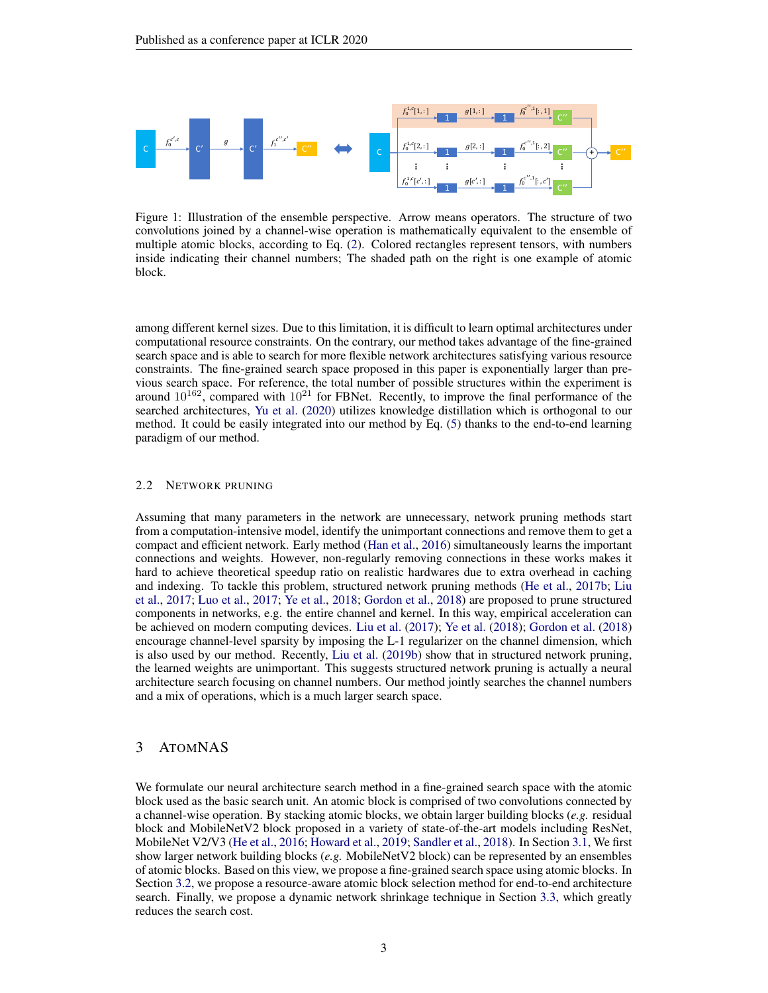<span id="page-2-0"></span>

Figure 1: Illustration of the ensemble perspective. Arrow means operators. The structure of two convolutions joined by a channel-wise operation is mathematically equivalent to the ensemble of multiple atomic blocks, according to Eq. [\(2\)](#page-3-0). Colored rectangles represent tensors, with numbers inside indicating their channel numbers; The shaded path on the right is one example of atomic block.

among different kernel sizes. Due to this limitation, it is difficult to learn optimal architectures under computational resource constraints. On the contrary, our method takes advantage of the fine-grained search space and is able to search for more flexible network architectures satisfying various resource constraints. The fine-grained search space proposed in this paper is exponentially larger than previous search space. For reference, the total number of possible structures within the experiment is around  $10^{162}$ , compared with  $10^{21}$  for FBNet. Recently, to improve the final performance of the searched architectures, [Yu et al.](#page-12-1) [\(2020\)](#page-12-1) utilizes knowledge distillation which is orthogonal to our method. It could be easily integrated into our method by Eq. [\(5\)](#page-4-0) thanks to the end-to-end learning paradigm of our method.

#### 2.2 NETWORK PRUNING

Assuming that many parameters in the network are unnecessary, network pruning methods start from a computation-intensive model, identify the unimportant connections and remove them to get a compact and efficient network. Early method [\(Han et al.,](#page-10-6) [2016\)](#page-10-6) simultaneously learns the important connections and weights. However, non-regularly removing connections in these works makes it hard to achieve theoretical speedup ratio on realistic hardwares due to extra overhead in caching and indexing. To tackle this problem, structured network pruning methods [\(He et al.,](#page-10-7) [2017b;](#page-10-7) [Liu](#page-11-10) [et al.,](#page-11-10) [2017;](#page-11-10) [Luo et al.,](#page-11-11) [2017;](#page-11-11) [Ye et al.,](#page-11-12) [2018;](#page-11-12) [Gordon et al.,](#page-10-8) [2018\)](#page-10-8) are proposed to prune structured components in networks, e.g. the entire channel and kernel. In this way, empirical acceleration can be achieved on modern computing devices. [Liu et al.](#page-11-10) [\(2017\)](#page-11-10); [Ye et al.](#page-11-12) [\(2018\)](#page-11-12); [Gordon et al.](#page-10-8) [\(2018\)](#page-10-8) encourage channel-level sparsity by imposing the L-1 regularizer on the channel dimension, which is also used by our method. Recently, [Liu et al.](#page-11-13) [\(2019b\)](#page-11-13) show that in structured network pruning, the learned weights are unimportant. This suggests structured network pruning is actually a neural architecture search focusing on channel numbers. Our method jointly searches the channel numbers and a mix of operations, which is a much larger search space.

# 3 ATOMNAS

We formulate our neural architecture search method in a fine-grained search space with the atomic block used as the basic search unit. An atomic block is comprised of two convolutions connected by a channel-wise operation. By stacking atomic blocks, we obtain larger building blocks (*e.g.* residual block and MobileNetV2 block proposed in a variety of state-of-the-art models including ResNet, MobileNet V2/V3 [\(He et al.,](#page-10-3) [2016;](#page-10-3) [Howard et al.,](#page-10-2) [2019;](#page-10-2) [Sandler et al.,](#page-11-7) [2018\)](#page-11-7). In Section [3.1,](#page-3-1) We first show larger network building blocks (*e.g.* MobileNetV2 block) can be represented by an ensembles of atomic blocks. Based on this view, we propose a fine-grained search space using atomic blocks. In Section [3.2,](#page-3-2) we propose a resource-aware atomic block selection method for end-to-end architecture search. Finally, we propose a dynamic network shrinkage technique in Section [3.3,](#page-4-1) which greatly reduces the search cost.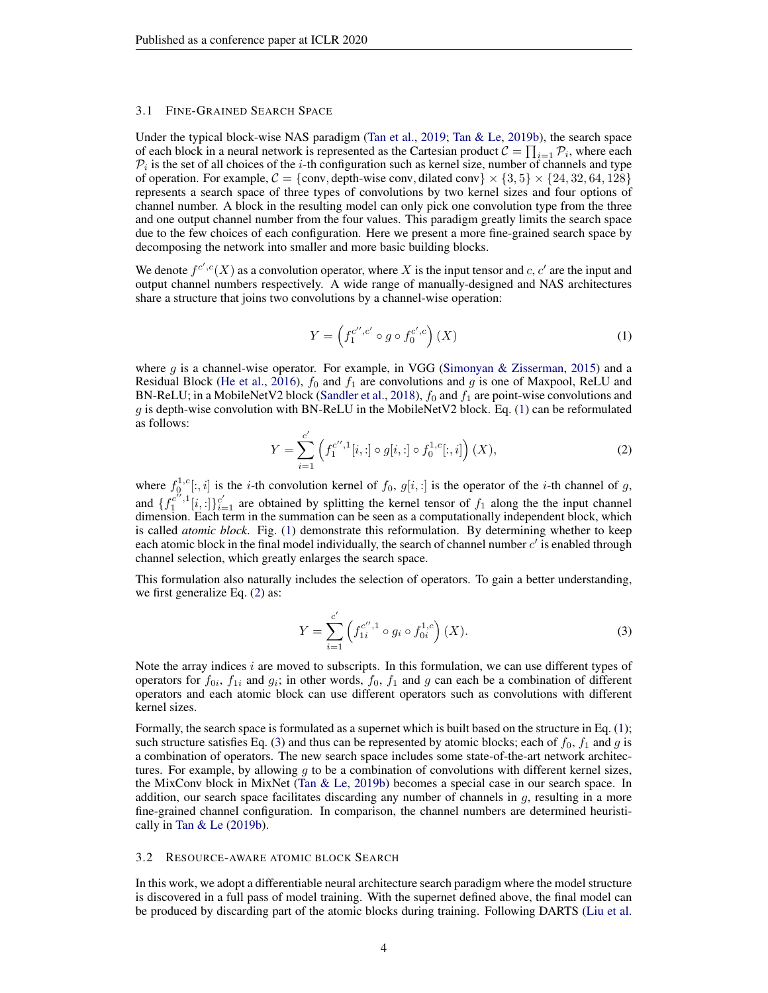#### <span id="page-3-1"></span>3.1 FINE-GRAINED SEARCH SPACE

Under the typical block-wise NAS paradigm [\(Tan et al.,](#page-11-1) [2019;](#page-11-1) [Tan & Le,](#page-11-6) [2019b\)](#page-11-6), the search space of each block in a neural network is represented as the Cartesian product  $C = \prod_{i=1} P_i$ , where each  $\mathcal{P}_i$  is the set of all choices of the *i*-th configuration such as kernel size, number of channels and type of operation. For example,  $C = \{conv, depth-wise conv, dilated conv\} \times \{3, 5\} \times \{24, 32, 64, 128\}$ represents a search space of three types of convolutions by two kernel sizes and four options of channel number. A block in the resulting model can only pick one convolution type from the three and one output channel number from the four values. This paradigm greatly limits the search space due to the few choices of each configuration. Here we present a more fine-grained search space by decomposing the network into smaller and more basic building blocks.

We denote  $f^{c',c}(X)$  as a convolution operator, where X is the input tensor and c, c' are the input and output channel numbers respectively. A wide range of manually-designed and NAS architectures share a structure that joins two convolutions by a channel-wise operation:

<span id="page-3-3"></span>
$$
Y = \left(f_1^{c'',c'} \circ g \circ f_0^{c',c}\right)(X) \tag{1}
$$

where  $g$  is a channel-wise operator. For example, in VGG [\(Simonyan & Zisserman,](#page-11-14) [2015\)](#page-11-14) and a Residual Block [\(He et al.,](#page-10-3) [2016\)](#page-10-3),  $f_0$  and  $f_1$  are convolutions and g is one of Maxpool, ReLU and BN-ReLU; in a MobileNetV2 block [\(Sandler et al.,](#page-11-7) [2018\)](#page-11-7),  $f_0$  and  $f_1$  are point-wise convolutions and g is depth-wise convolution with BN-ReLU in the MobileNetV2 block. Eq. [\(1\)](#page-3-3) can be reformulated as follows:

<span id="page-3-0"></span>
$$
Y = \sum_{i=1}^{c'} \left( f_1^{c'',1}[i, :] \circ g[i, :] \circ f_0^{1,c}[:,i] \right) (X), \tag{2}
$$

where  $f_0^{1,c}[:, i]$  is the *i*-th convolution kernel of  $f_0, g[i, :]$  is the operator of the *i*-th channel of g, and  $\{f_1^{c^{i},1}[i,:]\}_{i=1}^{c'}$  are obtained by splitting the kernel tensor of  $f_1$  along the the input channel dimension. Each term in the summation can be seen as a computationally independent block, which is called *atomic block*. Fig. [\(1\)](#page-2-0) demonstrate this reformulation. By determining whether to keep each atomic block in the final model individually, the search of channel number  $c'$  is enabled through channel selection, which greatly enlarges the search space.

This formulation also naturally includes the selection of operators. To gain a better understanding, we first generalize Eq. [\(2\)](#page-3-0) as:

<span id="page-3-4"></span>
$$
Y = \sum_{i=1}^{c'} \left( f_{1i}^{c'',1} \circ g_i \circ f_{0i}^{1,c} \right) (X).
$$
 (3)

Note the array indices  $i$  are moved to subscripts. In this formulation, we can use different types of operators for  $f_{0i}$ ,  $f_{1i}$  and  $g_i$ ; in other words,  $f_0$ ,  $f_1$  and  $g$  can each be a combination of different operators and each atomic block can use different operators such as convolutions with different kernel sizes.

Formally, the search space is formulated as a supernet which is built based on the structure in Eq. [\(1\)](#page-3-3); such structure satisfies Eq. [\(3\)](#page-3-4) and thus can be represented by atomic blocks; each of  $f_0$ ,  $f_1$  and g is a combination of operators. The new search space includes some state-of-the-art network architectures. For example, by allowing  $g$  to be a combination of convolutions with different kernel sizes, the MixConv block in MixNet [\(Tan & Le,](#page-11-6) [2019b\)](#page-11-6) becomes a special case in our search space. In addition, our search space facilitates discarding any number of channels in  $q$ , resulting in a more fine-grained channel configuration. In comparison, the channel numbers are determined heuristically in [Tan & Le](#page-11-6) [\(2019b\)](#page-11-6).

#### <span id="page-3-2"></span>3.2 RESOURCE-AWARE ATOMIC BLOCK SEARCH

In this work, we adopt a differentiable neural architecture search paradigm where the model structure is discovered in a full pass of model training. With the supernet defined above, the final model can be produced by discarding part of the atomic blocks during training. Following DARTS [\(Liu et al.](#page-11-2)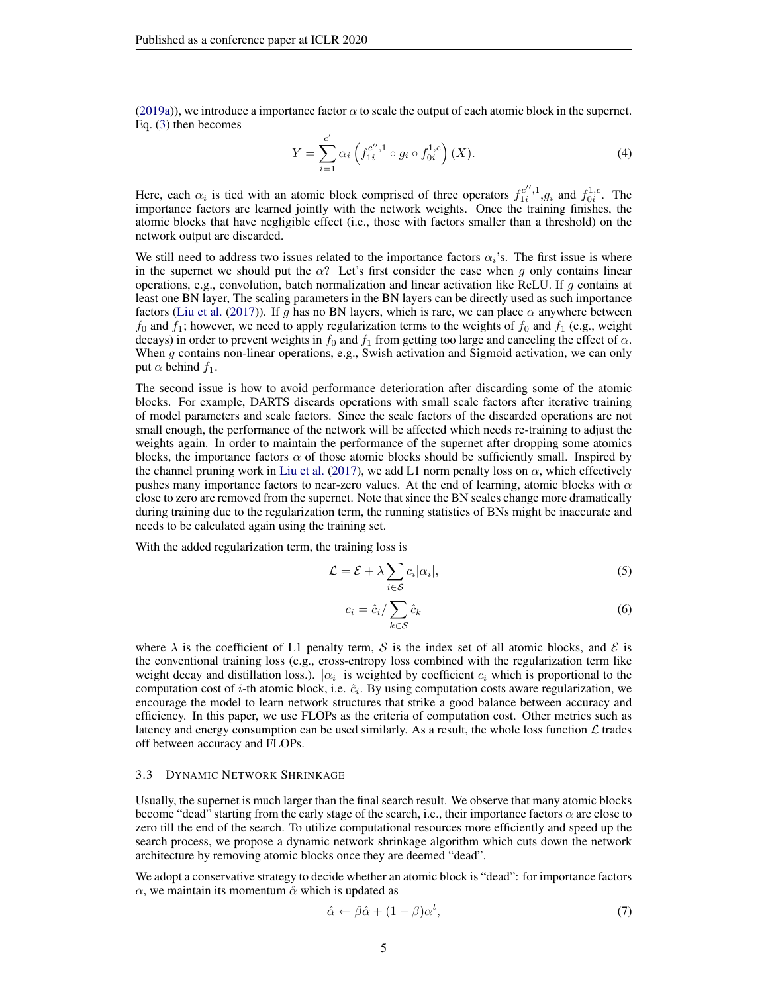[\(2019a\)](#page-11-2)), we introduce a importance factor  $\alpha$  to scale the output of each atomic block in the supernet. Eq. [\(3\)](#page-3-4) then becomes

$$
Y = \sum_{i=1}^{c'} \alpha_i \left( f_{1i}^{c'',1} \circ g_i \circ f_{0i}^{1,c} \right) (X).
$$
 (4)

Here, each  $\alpha_i$  is tied with an atomic block comprised of three operators  $f_1^{c'',1}, g_i$  and  $f_{0i}^{1,c}$ . The importance factors are learned jointly with the network weights. Once the training finishes, the atomic blocks that have negligible effect (i.e., those with factors smaller than a threshold) on the network output are discarded.

We still need to address two issues related to the importance factors  $\alpha_i$ 's. The first issue is where in the supernet we should put the  $\alpha$ ? Let's first consider the case when g only contains linear operations, e.g., convolution, batch normalization and linear activation like ReLU. If  $g$  contains at least one BN layer, The scaling parameters in the BN layers can be directly used as such importance factors [\(Liu et al.](#page-11-10) [\(2017\)](#page-11-10)). If g has no BN layers, which is rare, we can place  $\alpha$  anywhere between  $f_0$  and  $f_1$ ; however, we need to apply regularization terms to the weights of  $f_0$  and  $f_1$  (e.g., weight decays) in order to prevent weights in  $f_0$  and  $f_1$  from getting too large and canceling the effect of  $\alpha$ . When g contains non-linear operations, e.g., Swish activation and Sigmoid activation, we can only put  $\alpha$  behind  $f_1$ .

The second issue is how to avoid performance deterioration after discarding some of the atomic blocks. For example, DARTS discards operations with small scale factors after iterative training of model parameters and scale factors. Since the scale factors of the discarded operations are not small enough, the performance of the network will be affected which needs re-training to adjust the weights again. In order to maintain the performance of the supernet after dropping some atomics blocks, the importance factors  $\alpha$  of those atomic blocks should be sufficiently small. Inspired by the channel pruning work in [Liu et al.](#page-11-10) [\(2017\)](#page-11-10), we add L1 norm penalty loss on  $\alpha$ , which effectively pushes many importance factors to near-zero values. At the end of learning, atomic blocks with  $\alpha$ close to zero are removed from the supernet. Note that since the BN scales change more dramatically during training due to the regularization term, the running statistics of BNs might be inaccurate and needs to be calculated again using the training set.

With the added regularization term, the training loss is

<span id="page-4-0"></span>
$$
\mathcal{L} = \mathcal{E} + \lambda \sum_{i \in \mathcal{S}} c_i |\alpha_i|,\tag{5}
$$

$$
c_i = \hat{c}_i / \sum_{k \in \mathcal{S}} \hat{c}_k \tag{6}
$$

where  $\lambda$  is the coefficient of L1 penalty term, S is the index set of all atomic blocks, and S is the conventional training loss (e.g., cross-entropy loss combined with the regularization term like weight decay and distillation loss.).  $|\alpha_i|$  is weighted by coefficient  $c_i$  which is proportional to the computation cost of *i*-th atomic block, i.e.  $\hat{c}_i$ . By using computation costs aware regularization, we encourage the model to learn network structures that strike a good balance between accuracy and efficiency. In this paper, we use FLOPs as the criteria of computation cost. Other metrics such as latency and energy consumption can be used similarly. As a result, the whole loss function  $\mathcal L$  trades off between accuracy and FLOPs.

#### <span id="page-4-1"></span>3.3 DYNAMIC NETWORK SHRINKAGE

Usually, the supernet is much larger than the final search result. We observe that many atomic blocks become "dead" starting from the early stage of the search, i.e., their importance factors  $\alpha$  are close to zero till the end of the search. To utilize computational resources more efficiently and speed up the search process, we propose a dynamic network shrinkage algorithm which cuts down the network architecture by removing atomic blocks once they are deemed "dead".

We adopt a conservative strategy to decide whether an atomic block is "dead": for importance factors  $\alpha$ , we maintain its momentum  $\hat{\alpha}$  which is updated as

<span id="page-4-2"></span>
$$
\hat{\alpha} \leftarrow \beta \hat{\alpha} + (1 - \beta)\alpha^t,\tag{7}
$$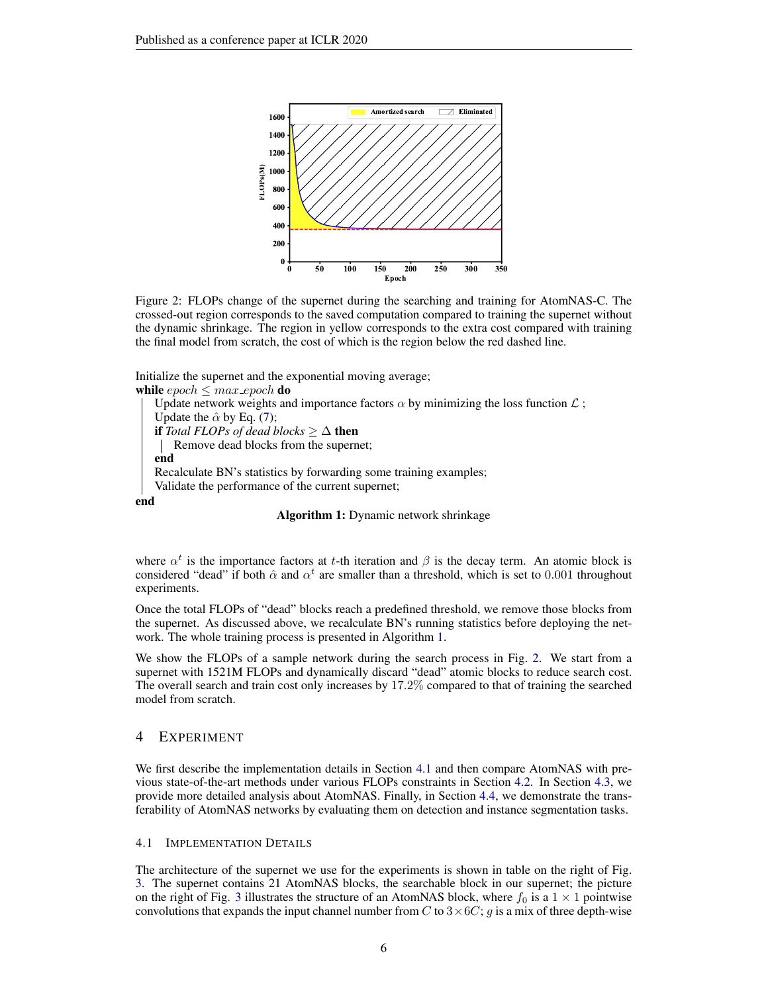<span id="page-5-1"></span>

Figure 2: FLOPs change of the supernet during the searching and training for AtomNAS-C. The crossed-out region corresponds to the saved computation compared to training the supernet without the dynamic shrinkage. The region in yellow corresponds to the extra cost compared with training the final model from scratch, the cost of which is the region below the red dashed line.

Initialize the supernet and the exponential moving average; while  $epoch \leq max\_epoch$  do

```
Update network weights and importance factors \alpha by minimizing the loss function \mathcal{L};
    Update the \hat{\alpha}(7);
   if Total FLOPs of dead blocks ≥ ∆ then
       Remove dead blocks from the supernet;
   end
   Recalculate BN's statistics by forwarding some training examples;
    Validate the performance of the current supernet;
end
```
Algorithm 1: Dynamic network shrinkage

<span id="page-5-0"></span>where  $\alpha^t$  is the importance factors at t-th iteration and  $\beta$  is the decay term. An atomic block is considered "dead" if both  $\hat{\alpha}$  and  $\alpha^t$  are smaller than a threshold, which is set to 0.001 throughout experiments.

Once the total FLOPs of "dead" blocks reach a predefined threshold, we remove those blocks from the supernet. As discussed above, we recalculate BN's running statistics before deploying the network. The whole training process is presented in Algorithm [1.](#page-5-0)

We show the FLOPs of a sample network during the search process in Fig. [2.](#page-5-1) We start from a supernet with 1521M FLOPs and dynamically discard "dead" atomic blocks to reduce search cost. The overall search and train cost only increases by 17.2% compared to that of training the searched model from scratch.

# 4 EXPERIMENT

We first describe the implementation details in Section [4.1](#page-5-2) and then compare AtomNAS with previous state-of-the-art methods under various FLOPs constraints in Section [4.2.](#page-6-0) In Section [4.3,](#page-7-0) we provide more detailed analysis about AtomNAS. Finally, in Section [4.4,](#page-9-0) we demonstrate the transferability of AtomNAS networks by evaluating them on detection and instance segmentation tasks.

#### <span id="page-5-2"></span>4.1 IMPLEMENTATION DETAILS

The architecture of the supernet we use for the experiments is shown in table on the right of Fig. [3.](#page-6-1) The supernet contains 21 AtomNAS blocks, the searchable block in our supernet; the picture on the right of Fig. [3](#page-6-1) illustrates the structure of an AtomNAS block, where  $f_0$  is a  $1 \times 1$  pointwise convolutions that expands the input channel number from C to  $3 \times 6C$ ; g is a mix of three depth-wise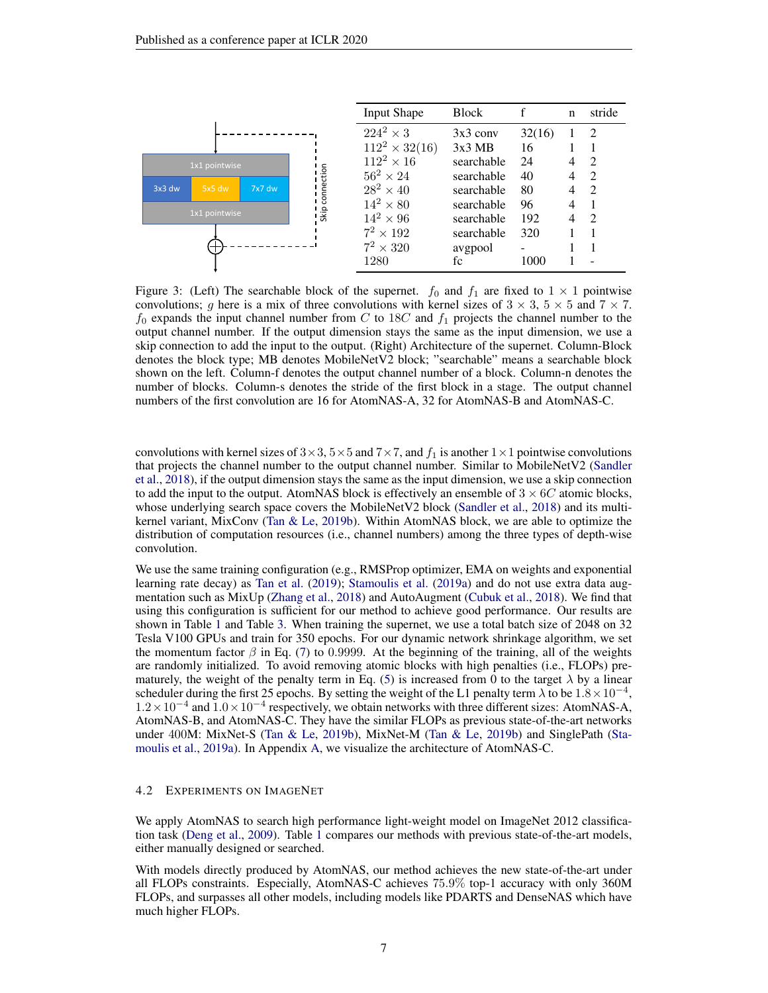<span id="page-6-1"></span>

Figure 3: (Left) The searchable block of the supernet.  $f_0$  and  $f_1$  are fixed to  $1 \times 1$  pointwise convolutions; g here is a mix of three convolutions with kernel sizes of  $3 \times 3$ ,  $5 \times 5$  and  $7 \times 7$ .  $f_0$  expands the input channel number from C to 18C and  $f_1$  projects the channel number to the output channel number. If the output dimension stays the same as the input dimension, we use a skip connection to add the input to the output. (Right) Architecture of the supernet. Column-Block denotes the block type; MB denotes MobileNetV2 block; "searchable" means a searchable block shown on the left. Column-f denotes the output channel number of a block. Column-n denotes the number of blocks. Column-s denotes the stride of the first block in a stage. The output channel numbers of the first convolution are 16 for AtomNAS-A, 32 for AtomNAS-B and AtomNAS-C.

convolutions with kernel sizes of  $3\times3$ ,  $5\times5$  and  $7\times7$ , and  $f_1$  is another  $1\times1$  pointwise convolutions that projects the channel number to the output channel number. Similar to MobileNetV2 [\(Sandler](#page-11-7) [et al.,](#page-11-7) [2018\)](#page-11-7), if the output dimension stays the same as the input dimension, we use a skip connection to add the input to the output. AtomNAS block is effectively an ensemble of  $3 \times 6C$  atomic blocks, whose underlying search space covers the MobileNetV2 block [\(Sandler et al.,](#page-11-7) [2018\)](#page-11-7) and its multikernel variant, MixConv [\(Tan & Le,](#page-11-6) [2019b\)](#page-11-6). Within AtomNAS block, we are able to optimize the distribution of computation resources (i.e., channel numbers) among the three types of depth-wise convolution.

We use the same training configuration (e.g., RMSProp optimizer, EMA on weights and exponential learning rate decay) as [Tan et al.](#page-11-1) [\(2019\)](#page-11-1); [Stamoulis et al.](#page-11-5) [\(2019a\)](#page-11-5) and do not use extra data augmentation such as MixUp [\(Zhang et al.,](#page-12-2) [2018\)](#page-12-2) and AutoAugment [\(Cubuk et al.,](#page-10-9) [2018\)](#page-10-9). We find that using this configuration is sufficient for our method to achieve good performance. Our results are shown in Table [1](#page-8-0) and Table [3.](#page-9-1) When training the supernet, we use a total batch size of 2048 on 32 Tesla V100 GPUs and train for 350 epochs. For our dynamic network shrinkage algorithm, we set the momentum factor  $\beta$  in Eq. [\(7\)](#page-4-2) to 0.9999. At the beginning of the training, all of the weights are randomly initialized. To avoid removing atomic blocks with high penalties (i.e., FLOPs) pre-maturely, the weight of the penalty term in Eq. [\(5\)](#page-4-0) is increased from 0 to the target  $\lambda$  by a linear scheduler during the first 25 epochs. By setting the weight of the L1 penalty term  $\lambda$  to be  $1.8 \times 10^{-4}$ , 1.2 × 10<sup>-4</sup> and 1.0 × 10<sup>-4</sup> respectively, we obtain networks with three different sizes: AtomNAS-A, AtomNAS-B, and AtomNAS-C. They have the similar FLOPs as previous state-of-the-art networks under 400M: MixNet-S [\(Tan & Le,](#page-11-6) [2019b\)](#page-11-6), MixNet-M [\(Tan & Le,](#page-11-6) [2019b\)](#page-11-6) and SinglePath [\(Sta](#page-11-5)[moulis et al.,](#page-11-5) [2019a\)](#page-11-5). In Appendix [A,](#page-12-3) we visualize the architecture of AtomNAS-C.

#### <span id="page-6-0"></span>4.2 EXPERIMENTS ON IMAGENET

We apply AtomNAS to search high performance light-weight model on ImageNet 2012 classification task [\(Deng et al.,](#page-10-10) [2009\)](#page-10-10). Table [1](#page-8-0) compares our methods with previous state-of-the-art models, either manually designed or searched.

With models directly produced by AtomNAS, our method achieves the new state-of-the-art under all FLOPs constraints. Especially, AtomNAS-C achieves 75.9% top-1 accuracy with only 360M FLOPs, and surpasses all other models, including models like PDARTS and DenseNAS which have much higher FLOPs.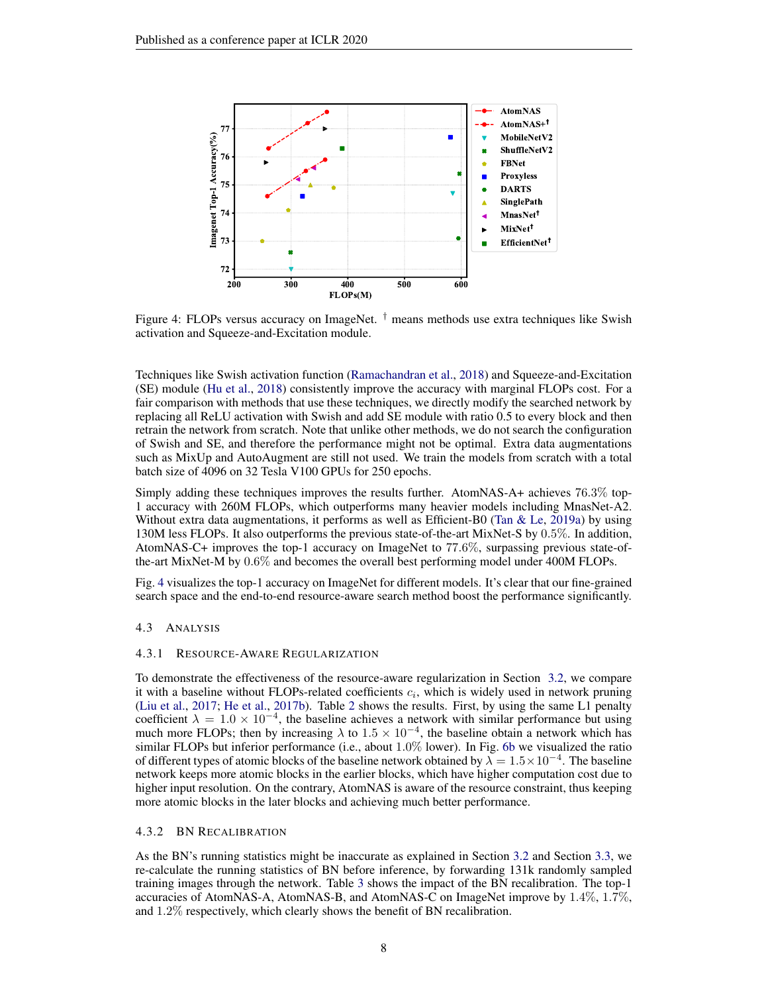<span id="page-7-1"></span>

Figure 4: FLOPs versus accuracy on ImageNet. † means methods use extra techniques like Swish activation and Squeeze-and-Excitation module.

Techniques like Swish activation function [\(Ramachandran et al.,](#page-11-15) [2018\)](#page-11-15) and Squeeze-and-Excitation (SE) module [\(Hu et al.,](#page-10-11) [2018\)](#page-10-11) consistently improve the accuracy with marginal FLOPs cost. For a fair comparison with methods that use these techniques, we directly modify the searched network by replacing all ReLU activation with Swish and add SE module with ratio 0.5 to every block and then retrain the network from scratch. Note that unlike other methods, we do not search the configuration of Swish and SE, and therefore the performance might not be optimal. Extra data augmentations such as MixUp and AutoAugment are still not used. We train the models from scratch with a total batch size of 4096 on 32 Tesla V100 GPUs for 250 epochs.

Simply adding these techniques improves the results further. AtomNAS-A+ achieves 76.3% top-1 accuracy with 260M FLOPs, which outperforms many heavier models including MnasNet-A2. Without extra data augmentations, it performs as well as Efficient-B0 (Tan  $&$  Le, [2019a\)](#page-11-4) by using 130M less FLOPs. It also outperforms the previous state-of-the-art MixNet-S by 0.5%. In addition, AtomNAS-C+ improves the top-1 accuracy on ImageNet to 77.6%, surpassing previous state-ofthe-art MixNet-M by 0.6% and becomes the overall best performing model under 400M FLOPs.

Fig. [4](#page-7-1) visualizes the top-1 accuracy on ImageNet for different models. It's clear that our fine-grained search space and the end-to-end resource-aware search method boost the performance significantly.

#### <span id="page-7-0"></span>4.3 ANALYSIS

#### 4.3.1 RESOURCE-AWARE REGULARIZATION

To demonstrate the effectiveness of the resource-aware regularization in Section [3.2,](#page-3-2) we compare it with a baseline without FLOPs-related coefficients  $c_i$ , which is widely used in network pruning [\(Liu et al.,](#page-11-10) [2017;](#page-11-10) [He et al.,](#page-10-7) [2017b\)](#page-10-7). Table [2](#page-8-1) shows the results. First, by using the same L1 penalty coefficient  $\lambda = 1.0 \times 10^{-4}$ , the baseline achieves a network with similar performance but using much more FLOPs; then by increasing  $\lambda$  to  $1.5 \times 10^{-4}$ , the baseline obtain a network which has similar FLOPs but inferior performance (i.e., about 1.0% lower). In Fig. [6b](#page-13-0) we visualized the ratio of different types of atomic blocks of the baseline network obtained by  $\lambda = 1.5 \times 10^{-4}$ . The baseline network keeps more atomic blocks in the earlier blocks, which have higher computation cost due to higher input resolution. On the contrary, AtomNAS is aware of the resource constraint, thus keeping more atomic blocks in the later blocks and achieving much better performance.

### 4.3.2 BN RECALIBRATION

As the BN's running statistics might be inaccurate as explained in Section [3.2](#page-3-2) and Section [3.3,](#page-4-1) we re-calculate the running statistics of BN before inference, by forwarding 131k randomly sampled training images through the network. Table [3](#page-9-1) shows the impact of the BN recalibration. The top-1 accuracies of AtomNAS-A, AtomNAS-B, and AtomNAS-C on ImageNet improve by 1.4%, 1.7%, and 1.2% respectively, which clearly shows the benefit of BN recalibration.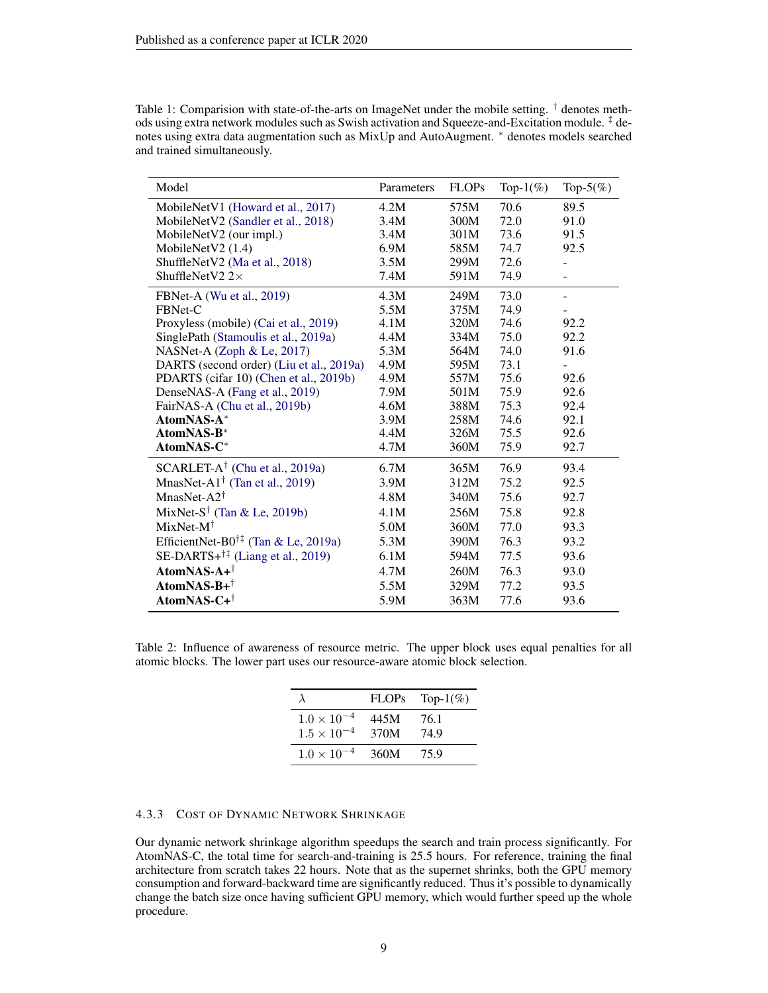| Model                                                                     | Parameters | <b>FLOPs</b> | Top- $1\%$ ) | Top- $5(\%)$ |
|---------------------------------------------------------------------------|------------|--------------|--------------|--------------|
| MobileNetV1 (Howard et al., 2017)                                         | 4.2M       | 575M         | 70.6         | 89.5         |
| MobileNetV2 (Sandler et al., 2018)                                        | 3.4M       | 300M         | 72.0         | 91.0         |
| MobileNetV2 (our impl.)                                                   | 3.4M       | 301M         | 73.6         | 91.5         |
| MobileNetV2 $(1.4)$                                                       | 6.9M       | 585M         | 74.7         | 92.5         |
| ShuffleNetV2 (Ma et al., 2018)                                            | 3.5M       | 299M         | 72.6         |              |
| ShuffleNetV2 $2\times$                                                    | 7.4M       | 591M         | 74.9         |              |
| FBNet-A (Wu et al., 2019)                                                 | 4.3M       | 249M         | 73.0         |              |
| FBNet-C                                                                   | 5.5M       | 375M         | 74.9         |              |
| Proxyless (mobile) (Cai et al., 2019)                                     | 4.1M       | 320M         | 74.6         | 92.2         |
| SinglePath (Stamoulis et al., 2019a)                                      | 4.4M       | 334M         | 75.0         | 92.2         |
| NASNet-A (Zoph & Le, 2017)                                                | 5.3M       | 564M         | 74.0         | 91.6         |
| DARTS (second order) (Liu et al., 2019a)                                  | 4.9M       | 595M         | 73.1         |              |
| PDARTS (cifar 10) (Chen et al., 2019b)                                    | 4.9M       | 557M         | 75.6         | 92.6         |
| DenseNAS-A (Fang et al., 2019)                                            | 7.9M       | 501M         | 75.9         | 92.6         |
| FairNAS-A (Chu et al., 2019b)                                             | 4.6M       | 388M         | 75.3         | 92.4         |
| AtomNAS-A*                                                                | 3.9M       | 258M         | 74.6         | 92.1         |
| AtomNAS-B*                                                                | 4.4M       | 326M         | 75.5         | 92.6         |
| AtomNAS-C*                                                                | 4.7M       | 360M         | 75.9         | 92.7         |
| $SCARLET-A^{\dagger}$ (Chu et al., 2019a)                                 | 6.7M       | 365M         | 76.9         | 93.4         |
| MnasNet-A1 <sup><math>\dagger</math></sup> (Tan et al., 2019)             | 3.9M       | 312M         | 75.2         | 92.5         |
| MnasNet-A2 $\dagger$                                                      | 4.8M       | 340M         | 75.6         | 92.7         |
| MixNet-S <sup>†</sup> (Tan & Le, 2019b)                                   | 4.1M       | 256M         | 75.8         | 92.8         |
| $MixNet-M^{\dagger}$                                                      | 5.0M       | 360M         | 77.0         | 93.3         |
| EfficientNet-B0 <sup>†‡</sup> (Tan & Le, 2019a)                           | 5.3M       | 390M         | 76.3         | 93.2         |
| SE-DARTS+ $\dagger$ <sup><math>\ddagger</math></sup> (Liang et al., 2019) | 6.1M       | 594M         | 77.5         | 93.6         |
| $\mathbf{AtomNAS\text{-}A+}^{\dagger}$                                    | 4.7M       | 260M         | 76.3         | 93.0         |
| AtomNAS-B+ $^{\dagger}$                                                   | 5.5M       | 329M         | 77.2         | 93.5         |
| AtomNAS-C+ <sup>†</sup>                                                   | 5.9M       | 363M         | 77.6         | 93.6         |

<span id="page-8-0"></span>Table 1: Comparision with state-of-the-arts on ImageNet under the mobile setting. <sup>†</sup> denotes methods using extra network modules such as Swish activation and Squeeze-and-Excitation module. ‡ denotes using extra data augmentation such as MixUp and AutoAugment. <sup>∗</sup> denotes models searched and trained simultaneously.

<span id="page-8-1"></span>Table 2: Influence of awareness of resource metric. The upper block uses equal penalties for all atomic blocks. The lower part uses our resource-aware atomic block selection.

|                                              | <b>FLOPs</b> | Top- $1\%$ ) |
|----------------------------------------------|--------------|--------------|
| $1.0 \times 10^{-4}$<br>$1.5 \times 10^{-4}$ | 445M<br>370M | 76.1<br>74.9 |
| $1.0 \times 10^{-4}$                         | 360M         | 75.9         |

#### 4.3.3 COST OF DYNAMIC NETWORK SHRINKAGE

Our dynamic network shrinkage algorithm speedups the search and train process significantly. For AtomNAS-C, the total time for search-and-training is 25.5 hours. For reference, training the final architecture from scratch takes 22 hours. Note that as the supernet shrinks, both the GPU memory consumption and forward-backward time are significantly reduced. Thus it's possible to dynamically change the batch size once having sufficient GPU memory, which would further speed up the whole procedure.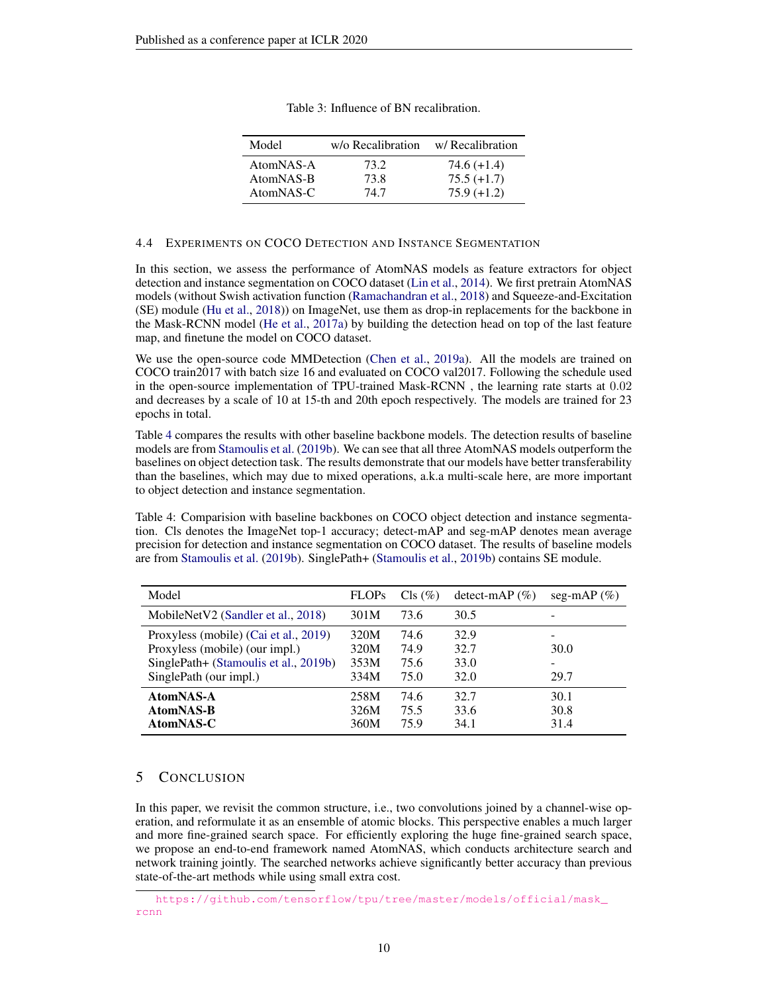<span id="page-9-1"></span>

| Model                  | w/o Recalibration | w/ Recalibration               |
|------------------------|-------------------|--------------------------------|
| AtomNAS-A<br>AtomNAS-B | 73.2<br>73.8      | $74.6 (+1.4)$<br>$75.5 (+1.7)$ |
| AtomNAS-C              | 74.7              | $75.9(+1.2)$                   |

| Table 3: Influence of BN recalibration. |  |  |  |
|-----------------------------------------|--|--|--|
|-----------------------------------------|--|--|--|

### <span id="page-9-0"></span>4.4 EXPERIMENTS ON COCO DETECTION AND INSTANCE SEGMENTATION

In this section, we assess the performance of AtomNAS models as feature extractors for object detection and instance segmentation on COCO dataset [\(Lin et al.,](#page-11-17) [2014\)](#page-11-17). We first pretrain AtomNAS models (without Swish activation function [\(Ramachandran et al.,](#page-11-15) [2018\)](#page-11-15) and Squeeze-and-Excitation (SE) module [\(Hu et al.,](#page-10-11) [2018\)](#page-10-11)) on ImageNet, use them as drop-in replacements for the backbone in the Mask-RCNN model [\(He et al.,](#page-10-16) [2017a\)](#page-10-16) by building the detection head on top of the last feature map, and finetune the model on COCO dataset.

We use the open-source code MMDetection [\(Chen et al.,](#page-10-17) [2019a\)](#page-10-17). All the models are trained on COCO train2017 with batch size 16 and evaluated on COCO val2017. Following the schedule used in the open-source implementation of TPU-trained Mask-RCNN [,](#page-9-2) the learning rate starts at 0.02 and decreases by a scale of 10 at 15-th and 20th epoch respectively. The models are trained for 23 epochs in total.

Table [4](#page-9-3) compares the results with other baseline backbone models. The detection results of baseline models are from [Stamoulis et al.](#page-11-18) [\(2019b\)](#page-11-18). We can see that all three AtomNAS models outperform the baselines on object detection task. The results demonstrate that our models have better transferability than the baselines, which may due to mixed operations, a.k.a multi-scale here, are more important to object detection and instance segmentation.

<span id="page-9-3"></span>Table 4: Comparision with baseline backbones on COCO object detection and instance segmentation. Cls denotes the ImageNet top-1 accuracy; detect-mAP and seg-mAP denotes mean average precision for detection and instance segmentation on COCO dataset. The results of baseline models are from [Stamoulis et al.](#page-11-18) [\(2019b\)](#page-11-18). SinglePath+ [\(Stamoulis et al.,](#page-11-18) [2019b\)](#page-11-18) contains SE module.

| Model                                                                                                            | <b>FLOPs</b>                 | $Cls$ $(\%)$                 | detect-mAP $(\%)$            | seg-mAP $(\%)$               |
|------------------------------------------------------------------------------------------------------------------|------------------------------|------------------------------|------------------------------|------------------------------|
| MobileNetV2 (Sandler et al., 2018)                                                                               | 301M                         | 73.6                         | 30.5                         |                              |
| Proxyless (mobile) (Cai et al., 2019)<br>Proxyless (mobile) (our impl.)<br>SinglePath+ (Stamoulis et al., 2019b) | 320M<br>320M<br>353M         | 74.6<br>74.9<br>75.6         | 32.9<br>32.7<br>33.0         | 30.0<br>-                    |
| SinglePath (our impl.)<br>AtomNAS-A<br>AtomNAS-B<br>AtomNAS-C                                                    | 334M<br>258M<br>326M<br>360M | 75.0<br>74.6<br>75.5<br>75.9 | 32.0<br>32.7<br>33.6<br>34.1 | 29.7<br>30.1<br>30.8<br>31.4 |

# 5 CONCLUSION

In this paper, we revisit the common structure, i.e., two convolutions joined by a channel-wise operation, and reformulate it as an ensemble of atomic blocks. This perspective enables a much larger and more fine-grained search space. For efficiently exploring the huge fine-grained search space, we propose an end-to-end framework named AtomNAS, which conducts architecture search and network training jointly. The searched networks achieve significantly better accuracy than previous state-of-the-art methods while using small extra cost.

<span id="page-9-2"></span>[https://github.com/tensorflow/tpu/tree/master/models/official/mask\\_](https://github.com/tensorflow/tpu/tree/master/models/official/mask_rcnn) [rcnn](https://github.com/tensorflow/tpu/tree/master/models/official/mask_rcnn)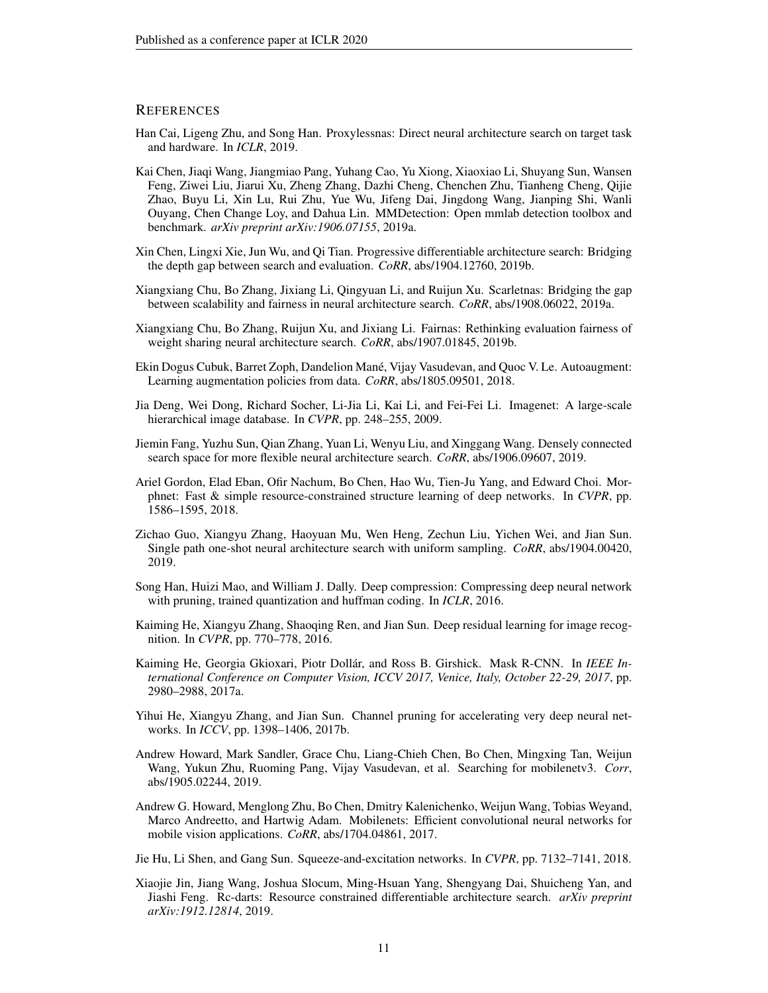### **REFERENCES**

- <span id="page-10-0"></span>Han Cai, Ligeng Zhu, and Song Han. Proxylessnas: Direct neural architecture search on target task and hardware. In *ICLR*, 2019.
- <span id="page-10-17"></span>Kai Chen, Jiaqi Wang, Jiangmiao Pang, Yuhang Cao, Yu Xiong, Xiaoxiao Li, Shuyang Sun, Wansen Feng, Ziwei Liu, Jiarui Xu, Zheng Zhang, Dazhi Cheng, Chenchen Zhu, Tianheng Cheng, Qijie Zhao, Buyu Li, Xin Lu, Rui Zhu, Yue Wu, Jifeng Dai, Jingdong Wang, Jianping Shi, Wanli Ouyang, Chen Change Loy, and Dahua Lin. MMDetection: Open mmlab detection toolbox and benchmark. *arXiv preprint arXiv:1906.07155*, 2019a.
- <span id="page-10-1"></span>Xin Chen, Lingxi Xie, Jun Wu, and Qi Tian. Progressive differentiable architecture search: Bridging the depth gap between search and evaluation. *CoRR*, abs/1904.12760, 2019b.
- <span id="page-10-15"></span>Xiangxiang Chu, Bo Zhang, Jixiang Li, Qingyuan Li, and Ruijun Xu. Scarletnas: Bridging the gap between scalability and fairness in neural architecture search. *CoRR*, abs/1908.06022, 2019a.
- <span id="page-10-14"></span>Xiangxiang Chu, Bo Zhang, Ruijun Xu, and Jixiang Li. Fairnas: Rethinking evaluation fairness of weight sharing neural architecture search. *CoRR*, abs/1907.01845, 2019b.
- <span id="page-10-9"></span>Ekin Dogus Cubuk, Barret Zoph, Dandelion Mane, Vijay Vasudevan, and Quoc V. Le. Autoaugment: ´ Learning augmentation policies from data. *CoRR*, abs/1805.09501, 2018.
- <span id="page-10-10"></span>Jia Deng, Wei Dong, Richard Socher, Li-Jia Li, Kai Li, and Fei-Fei Li. Imagenet: A large-scale hierarchical image database. In *CVPR*, pp. 248–255, 2009.
- <span id="page-10-13"></span>Jiemin Fang, Yuzhu Sun, Qian Zhang, Yuan Li, Wenyu Liu, and Xinggang Wang. Densely connected search space for more flexible neural architecture search. *CoRR*, abs/1906.09607, 2019.
- <span id="page-10-8"></span>Ariel Gordon, Elad Eban, Ofir Nachum, Bo Chen, Hao Wu, Tien-Ju Yang, and Edward Choi. Morphnet: Fast & simple resource-constrained structure learning of deep networks. In *CVPR*, pp. 1586–1595, 2018.
- <span id="page-10-5"></span>Zichao Guo, Xiangyu Zhang, Haoyuan Mu, Wen Heng, Zechun Liu, Yichen Wei, and Jian Sun. Single path one-shot neural architecture search with uniform sampling. *CoRR*, abs/1904.00420, 2019.
- <span id="page-10-6"></span>Song Han, Huizi Mao, and William J. Dally. Deep compression: Compressing deep neural network with pruning, trained quantization and huffman coding. In *ICLR*, 2016.
- <span id="page-10-3"></span>Kaiming He, Xiangyu Zhang, Shaoqing Ren, and Jian Sun. Deep residual learning for image recognition. In *CVPR*, pp. 770–778, 2016.
- <span id="page-10-16"></span>Kaiming He, Georgia Gkioxari, Piotr Dollár, and Ross B. Girshick. Mask R-CNN. In *IEEE International Conference on Computer Vision, ICCV 2017, Venice, Italy, October 22-29, 2017*, pp. 2980–2988, 2017a.
- <span id="page-10-7"></span>Yihui He, Xiangyu Zhang, and Jian Sun. Channel pruning for accelerating very deep neural networks. In *ICCV*, pp. 1398–1406, 2017b.
- <span id="page-10-2"></span>Andrew Howard, Mark Sandler, Grace Chu, Liang-Chieh Chen, Bo Chen, Mingxing Tan, Weijun Wang, Yukun Zhu, Ruoming Pang, Vijay Vasudevan, et al. Searching for mobilenetv3. *Corr*, abs/1905.02244, 2019.
- <span id="page-10-12"></span>Andrew G. Howard, Menglong Zhu, Bo Chen, Dmitry Kalenichenko, Weijun Wang, Tobias Weyand, Marco Andreetto, and Hartwig Adam. Mobilenets: Efficient convolutional neural networks for mobile vision applications. *CoRR*, abs/1704.04861, 2017.
- <span id="page-10-11"></span>Jie Hu, Li Shen, and Gang Sun. Squeeze-and-excitation networks. In *CVPR*, pp. 7132–7141, 2018.
- <span id="page-10-4"></span>Xiaojie Jin, Jiang Wang, Joshua Slocum, Ming-Hsuan Yang, Shengyang Dai, Shuicheng Yan, and Jiashi Feng. Rc-darts: Resource constrained differentiable architecture search. *arXiv preprint arXiv:1912.12814*, 2019.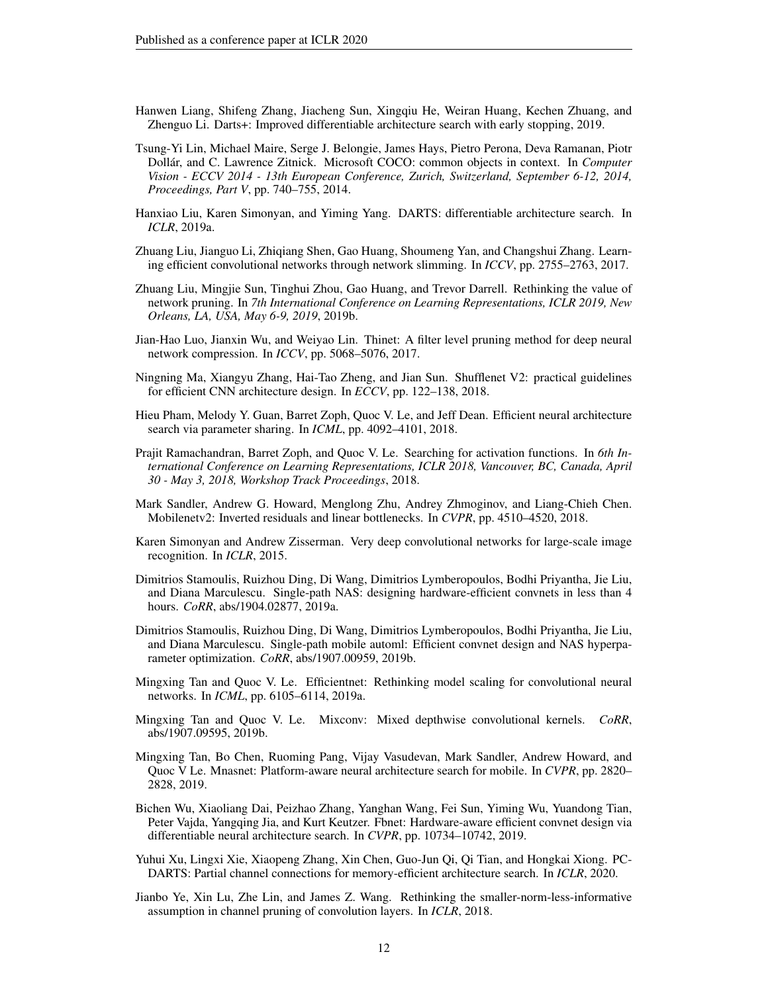- <span id="page-11-8"></span>Hanwen Liang, Shifeng Zhang, Jiacheng Sun, Xingqiu He, Weiran Huang, Kechen Zhuang, and Zhenguo Li. Darts+: Improved differentiable architecture search with early stopping, 2019.
- <span id="page-11-17"></span>Tsung-Yi Lin, Michael Maire, Serge J. Belongie, James Hays, Pietro Perona, Deva Ramanan, Piotr Dollar, and C. Lawrence Zitnick. Microsoft COCO: common objects in context. In ´ *Computer Vision - ECCV 2014 - 13th European Conference, Zurich, Switzerland, September 6-12, 2014, Proceedings, Part V*, pp. 740–755, 2014.
- <span id="page-11-2"></span>Hanxiao Liu, Karen Simonyan, and Yiming Yang. DARTS: differentiable architecture search. In *ICLR*, 2019a.
- <span id="page-11-10"></span>Zhuang Liu, Jianguo Li, Zhiqiang Shen, Gao Huang, Shoumeng Yan, and Changshui Zhang. Learning efficient convolutional networks through network slimming. In *ICCV*, pp. 2755–2763, 2017.
- <span id="page-11-13"></span>Zhuang Liu, Mingjie Sun, Tinghui Zhou, Gao Huang, and Trevor Darrell. Rethinking the value of network pruning. In *7th International Conference on Learning Representations, ICLR 2019, New Orleans, LA, USA, May 6-9, 2019*, 2019b.
- <span id="page-11-11"></span>Jian-Hao Luo, Jianxin Wu, and Weiyao Lin. Thinet: A filter level pruning method for deep neural network compression. In *ICCV*, pp. 5068–5076, 2017.
- <span id="page-11-16"></span>Ningning Ma, Xiangyu Zhang, Hai-Tao Zheng, and Jian Sun. Shufflenet V2: practical guidelines for efficient CNN architecture design. In *ECCV*, pp. 122–138, 2018.
- <span id="page-11-0"></span>Hieu Pham, Melody Y. Guan, Barret Zoph, Quoc V. Le, and Jeff Dean. Efficient neural architecture search via parameter sharing. In *ICML*, pp. 4092–4101, 2018.
- <span id="page-11-15"></span>Prajit Ramachandran, Barret Zoph, and Quoc V. Le. Searching for activation functions. In *6th International Conference on Learning Representations, ICLR 2018, Vancouver, BC, Canada, April 30 - May 3, 2018, Workshop Track Proceedings*, 2018.
- <span id="page-11-7"></span>Mark Sandler, Andrew G. Howard, Menglong Zhu, Andrey Zhmoginov, and Liang-Chieh Chen. Mobilenetv2: Inverted residuals and linear bottlenecks. In *CVPR*, pp. 4510–4520, 2018.
- <span id="page-11-14"></span>Karen Simonyan and Andrew Zisserman. Very deep convolutional networks for large-scale image recognition. In *ICLR*, 2015.
- <span id="page-11-5"></span>Dimitrios Stamoulis, Ruizhou Ding, Di Wang, Dimitrios Lymberopoulos, Bodhi Priyantha, Jie Liu, and Diana Marculescu. Single-path NAS: designing hardware-efficient convnets in less than 4 hours. *CoRR*, abs/1904.02877, 2019a.
- <span id="page-11-18"></span>Dimitrios Stamoulis, Ruizhou Ding, Di Wang, Dimitrios Lymberopoulos, Bodhi Priyantha, Jie Liu, and Diana Marculescu. Single-path mobile automl: Efficient convnet design and NAS hyperparameter optimization. *CoRR*, abs/1907.00959, 2019b.
- <span id="page-11-4"></span>Mingxing Tan and Quoc V. Le. Efficientnet: Rethinking model scaling for convolutional neural networks. In *ICML*, pp. 6105–6114, 2019a.
- <span id="page-11-6"></span>Mingxing Tan and Quoc V. Le. Mixconv: Mixed depthwise convolutional kernels. *CoRR*, abs/1907.09595, 2019b.
- <span id="page-11-1"></span>Mingxing Tan, Bo Chen, Ruoming Pang, Vijay Vasudevan, Mark Sandler, Andrew Howard, and Quoc V Le. Mnasnet: Platform-aware neural architecture search for mobile. In *CVPR*, pp. 2820– 2828, 2019.
- <span id="page-11-3"></span>Bichen Wu, Xiaoliang Dai, Peizhao Zhang, Yanghan Wang, Fei Sun, Yiming Wu, Yuandong Tian, Peter Vajda, Yangqing Jia, and Kurt Keutzer. Fbnet: Hardware-aware efficient convnet design via differentiable neural architecture search. In *CVPR*, pp. 10734–10742, 2019.
- <span id="page-11-9"></span>Yuhui Xu, Lingxi Xie, Xiaopeng Zhang, Xin Chen, Guo-Jun Qi, Qi Tian, and Hongkai Xiong. PC-DARTS: Partial channel connections for memory-efficient architecture search. In *ICLR*, 2020.
- <span id="page-11-12"></span>Jianbo Ye, Xin Lu, Zhe Lin, and James Z. Wang. Rethinking the smaller-norm-less-informative assumption in channel pruning of convolution layers. In *ICLR*, 2018.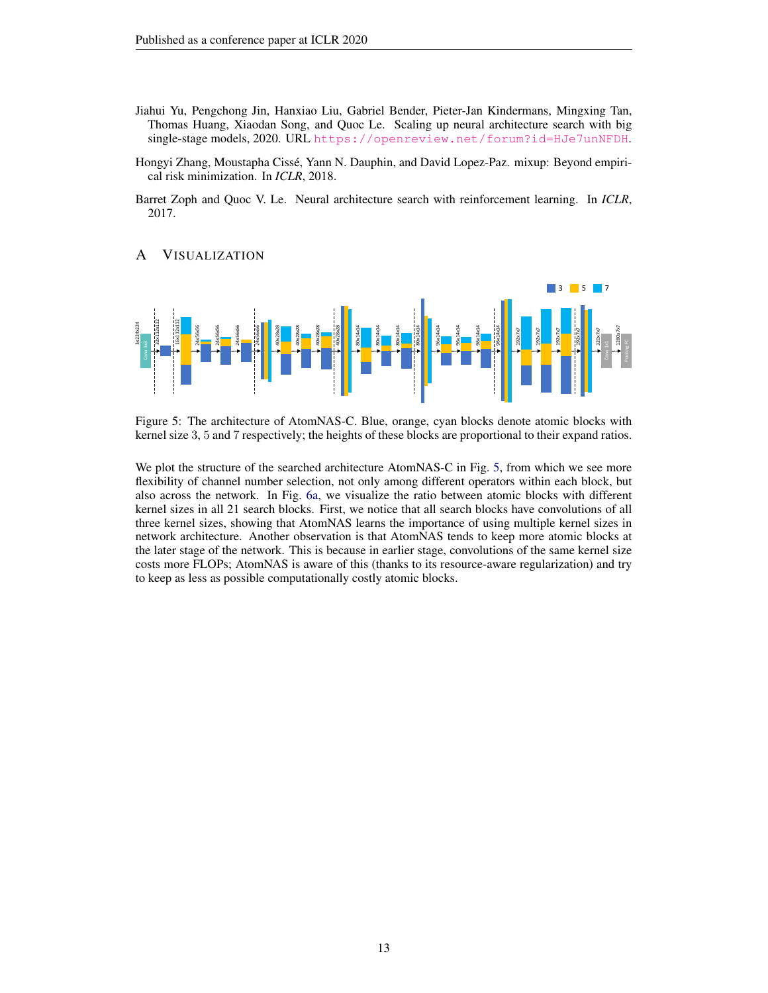- <span id="page-12-1"></span>Jiahui Yu, Pengchong Jin, Hanxiao Liu, Gabriel Bender, Pieter-Jan Kindermans, Mingxing Tan, Thomas Huang, Xiaodan Song, and Quoc Le. Scaling up neural architecture search with big single-stage models, 2020. URL <https://openreview.net/forum?id=HJe7unNFDH>.
- <span id="page-12-2"></span>Hongyi Zhang, Moustapha Cisse, Yann N. Dauphin, and David Lopez-Paz. mixup: Beyond empiri- ´ cal risk minimization. In *ICLR*, 2018.
- <span id="page-12-0"></span>Barret Zoph and Quoc V. Le. Neural architecture search with reinforcement learning. In *ICLR*, 2017.

# <span id="page-12-3"></span>A VISUALIZATION

<span id="page-12-4"></span>

Figure 5: The architecture of AtomNAS-C. Blue, orange, cyan blocks denote atomic blocks with kernel size 3, 5 and 7 respectively; the heights of these blocks are proportional to their expand ratios.

We plot the structure of the searched architecture AtomNAS-C in Fig. [5,](#page-12-4) from which we see more flexibility of channel number selection, not only among different operators within each block, but also across the network. In Fig. [6a,](#page-13-0) we visualize the ratio between atomic blocks with different kernel sizes in all 21 search blocks. First, we notice that all search blocks have convolutions of all three kernel sizes, showing that AtomNAS learns the importance of using multiple kernel sizes in network architecture. Another observation is that AtomNAS tends to keep more atomic blocks at the later stage of the network. This is because in earlier stage, convolutions of the same kernel size costs more FLOPs; AtomNAS is aware of this (thanks to its resource-aware regularization) and try to keep as less as possible computationally costly atomic blocks.